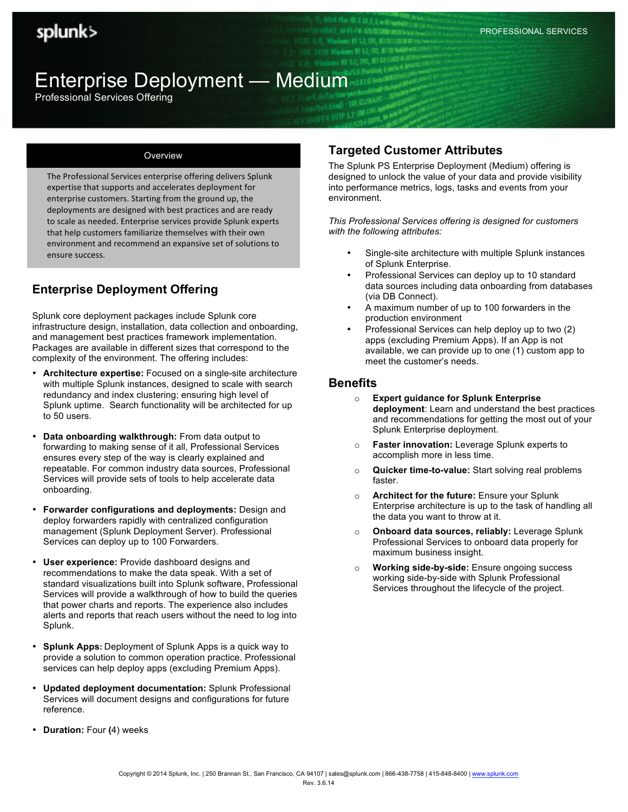# Enterprise Deployment — Medium

Professional Services Offering

#### **Overview**

The Professional Services enterprise offering delivers Splunk expertise that supports and accelerates deployment for enterprise customers. Starting from the ground up, the deployments are designed with best practices and are ready to scale as needed. Enterprise services provide Splunk experts that help customers familiarize themselves with their own environment and recommend an expansive set of solutions to ensure success.

## **Enterprise Deployment Offering**

Splunk core deployment packages include Splunk core infrastructure design, installation, data collection and onboarding, and management best practices framework implementation. Packages are available in different sizes that correspond to the complexity of the environment. The offering includes:

- **Architecture expertise:** Focused on a single-site architecture with multiple Splunk instances, designed to scale with search redundancy and index clustering; ensuring high level of Splunk uptime. Search functionality will be architected for up to 50 users.
- **Data onboarding walkthrough:** From data output to forwarding to making sense of it all, Professional Services ensures every step of the way is clearly explained and repeatable. For common industry data sources, Professional Services will provide sets of tools to help accelerate data onboarding.
- **Forwarder configurations and deployments:** Design and deploy forwarders rapidly with centralized configuration management (Splunk Deployment Server). Professional Services can deploy up to 100 Forwarders.
- **User experience:** Provide dashboard designs and recommendations to make the data speak. With a set of standard visualizations built into Splunk software, Professional Services will provide a walkthrough of how to build the queries that power charts and reports. The experience also includes alerts and reports that reach users without the need to log into Splunk.
- **Splunk Apps:** Deployment of Splunk Apps is a quick way to provide a solution to common operation practice. Professional services can help deploy apps (excluding Premium Apps).
- **Updated deployment documentation:** Splunk Professional Services will document designs and configurations for future reference.

## **Targeted Customer Attributes**

The Splunk PS Enterprise Deployment (Medium) offering is designed to unlock the value of your data and provide visibility into performance metrics, logs, tasks and events from your environment.

*This Professional Services offering is designed for customers with the following attributes:*

- Single-site architecture with multiple Splunk instances of Splunk Enterprise.
- Professional Services can deploy up to 10 standard data sources including data onboarding from databases (via DB Connect).
- A maximum number of up to 100 forwarders in the production environment
- Professional Services can help deploy up to two (2) apps (excluding Premium Apps). If an App is not available, we can provide up to one (1) custom app to meet the customer's needs.

#### **Benefits**

- o **Expert guidance for Splunk Enterprise deployment**: Learn and understand the best practices and recommendations for getting the most out of your Splunk Enterprise deployment.
- o **Faster innovation:** Leverage Splunk experts to accomplish more in less time.
- o **Quicker time-to-value:** Start solving real problems faster.
- o **Architect for the future:** Ensure your Splunk Enterprise architecture is up to the task of handling all the data you want to throw at it.
- o **Onboard data sources, reliably:** Leverage Splunk Professional Services to onboard data properly for maximum business insight.
- o **Working side-by-side:** Ensure ongoing success working side-by-side with Splunk Professional Services throughout the lifecycle of the project.

• **Duration:** Four **(**4) weeks